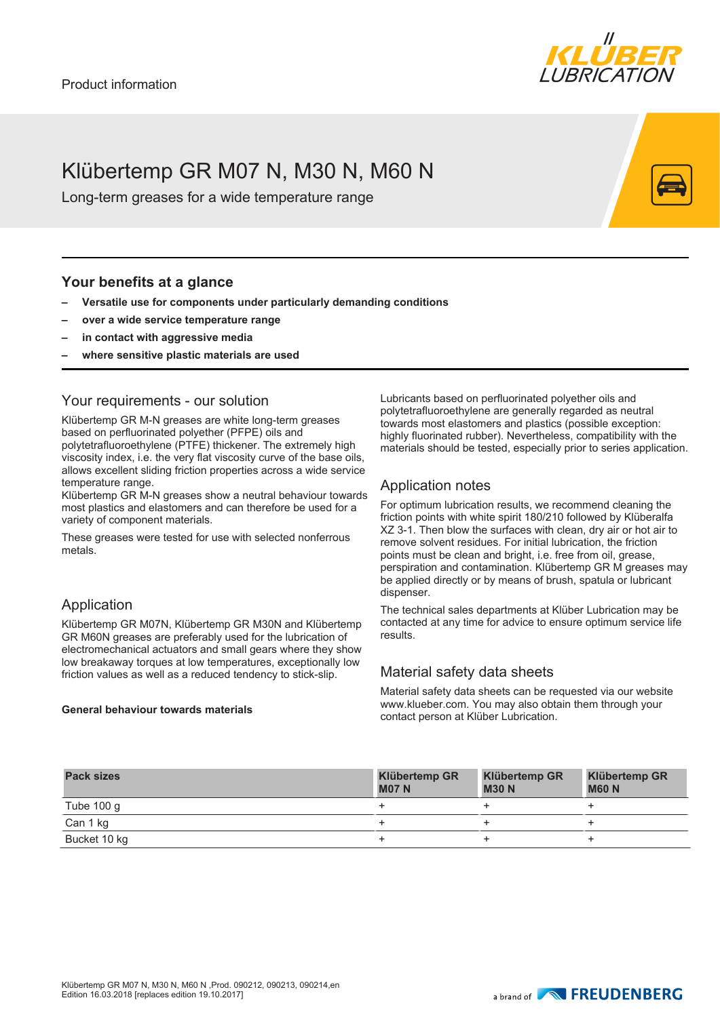

# Klübertemp GR M07 N, M30 N, M60 N

Long-term greases for a wide temperature range

## **Your benefits at a glance**

- **– Versatile use for components under particularly demanding conditions**
- **– over a wide service temperature range**
- **– in contact with aggressive media**
- **– where sensitive plastic materials are used**

## Your requirements - our solution

Klübertemp GR M-N greases are white long-term greases based on perfluorinated polyether (PFPE) oils and polytetrafluoroethylene (PTFE) thickener. The extremely high viscosity index, i.e. the very flat viscosity curve of the base oils, allows excellent sliding friction properties across a wide service temperature range.

Klübertemp GR M-N greases show a neutral behaviour towards most plastics and elastomers and can therefore be used for a variety of component materials.

These greases were tested for use with selected nonferrous metals.

## Application

Klübertemp GR M07N, Klübertemp GR M30N and Klübertemp GR M60N greases are preferably used for the lubrication of electromechanical actuators and small gears where they show low breakaway torques at low temperatures, exceptionally low friction values as well as a reduced tendency to stick-slip.

#### **General behaviour towards materials**

Lubricants based on perfluorinated polyether oils and polytetrafluoroethylene are generally regarded as neutral towards most elastomers and plastics (possible exception: highly fluorinated rubber). Nevertheless, compatibility with the materials should be tested, especially prior to series application.

# Application notes

For optimum lubrication results, we recommend cleaning the friction points with white spirit 180/210 followed by Klüberalfa XZ 3-1. Then blow the surfaces with clean, dry air or hot air to remove solvent residues. For initial lubrication, the friction points must be clean and bright, i.e. free from oil, grease, perspiration and contamination. Klübertemp GR M greases may be applied directly or by means of brush, spatula or lubricant dispenser.

The technical sales departments at Klüber Lubrication may be contacted at any time for advice to ensure optimum service life results.

## Material safety data sheets

Material safety data sheets can be requested via our website www.klueber.com. You may also obtain them through your contact person at Klüber Lubrication.

| <b>Pack sizes</b> | <b>Klübertemp GR</b><br><b>M07 N</b> | <b>Klübertemp GR</b><br><b>M30 N</b> | <b>Klübertemp GR</b><br><b>M60 N</b> |
|-------------------|--------------------------------------|--------------------------------------|--------------------------------------|
| Tube $100 g$      |                                      |                                      |                                      |
| Can 1 kg          |                                      |                                      |                                      |
| Bucket 10 kg      |                                      |                                      |                                      |